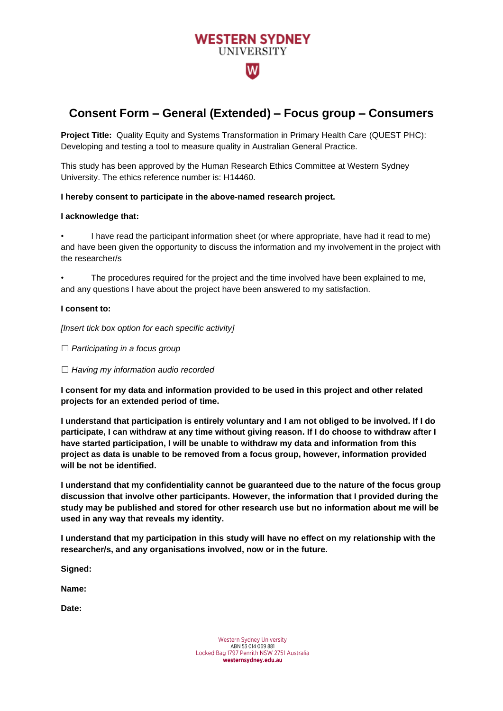

# **Consent Form – General (Extended) – Focus group – Consumers**

**Project Title:** Quality Equity and Systems Transformation in Primary Health Care (QUEST PHC): Developing and testing a tool to measure quality in Australian General Practice.

This study has been approved by the Human Research Ethics Committee at Western Sydney University. The ethics reference number is: H14460.

## **I hereby consent to participate in the above-named research project.**

## **I acknowledge that:**

• I have read the participant information sheet (or where appropriate, have had it read to me) and have been given the opportunity to discuss the information and my involvement in the project with the researcher/s

• The procedures required for the project and the time involved have been explained to me, and any questions I have about the project have been answered to my satisfaction.

#### **I consent to:**

*[Insert tick box option for each specific activity]*

- ☐ *Participating in a focus group*
- ☐ *Having my information audio recorded*

**I consent for my data and information provided to be used in this project and other related projects for an extended period of time.**

**I understand that participation is entirely voluntary and I am not obliged to be involved. If I do participate, I can withdraw at any time without giving reason. If I do choose to withdraw after I have started participation, I will be unable to withdraw my data and information from this project as data is unable to be removed from a focus group, however, information provided will be not be identified.**

**I understand that my confidentiality cannot be guaranteed due to the nature of the focus group discussion that involve other participants. However, the information that I provided during the study may be published and stored for other research use but no information about me will be used in any way that reveals my identity.**

**I understand that my participation in this study will have no effect on my relationship with the researcher/s, and any organisations involved, now or in the future.** 

**Signed:**

**Name:**

**Date:**

Western Sydney University ABN 53 014 069 881 Locked Bag 1797 Penrith NSW 2751 Australia westernsydney.edu.au